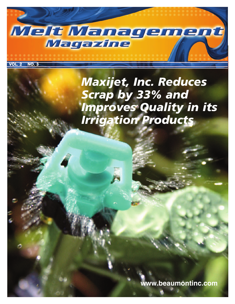

**VOL. 2 NO. 3**

*Maxijet, Inc. Reduces Scrap by 33% and Improves Quality in its Irrigation Products*

**www.beaumontinc.com**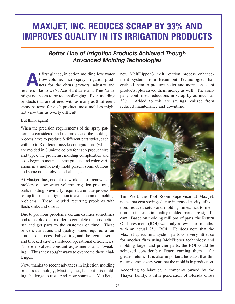# **MAXIJET, INC. REDUCES SCRAP BY 33% AND IMPROVES QUALITY IN ITS IRRIGATION PRODUCTS**

# *Better Line of Irrigation Products Achieved Though Advanced Molding Technologies*

t first glance, injection molding low water<br>flow volume, micro spray irrigation prod-<br>ucts for the citrus growers industry and flow volume, micro spray irrigation products for the citrus growers industry and retailers like Lowe's, Ace Hardware and True Value might not seem to be too challenging. Even molding products that are offered with as many as 8 different spray patterns for each product, most molders might not view this as overly difficult.

#### But think again!

When the precision requirements of the spray pattern are considered and the molds and the molding process have to produce 8 different part styles, each with up to 8 different nozzle configurations (which are molded in 8 unique colors for each product size and type), the problems, molding complexities and costs begin to mount. These product and color variations in a multi-cavity mold present some obvious and some not-so-obvious challenges.

At Maxijet, Inc., one of the world's most renowned molders of low water volume irrigation products, parts molding previously required a unique process

set-up for each configuration to avoid common molding problems. These included recurring problems with flash, sinks and shorts.

Due to previous problems, certain cavities sometimes had to be blocked in order to complete the production run and get parts to the customer on time. These process variations and quality issues required a fair amount of process babysitting, and the regular scrap and blocked cavities reduced operational efficiencies.

These involved constant adjustments and "tweaking." Thus they sought ways to overcome these challenges.

Now, thanks to recent advances in injection molding process technology, Maxijet, Inc., has put this molding challenge to rest. And, note sources at Maxijet, a new MeltFlipper® melt rotation process enhancement system from Beaumont Technologies, has enabled them to produce better and more consistent products, plus saved them money as well. The company confirmed reductions in scrap by as much as 33%. Added to this are savings realized from reduced maintenance and downtime.



Tim Wert, the Tool Room Supervisor at Maxijet, notes that cost savings due to increased cavity utilization, reduced setup and molding times, not to mention the increase in quality molded parts, are significant. Based on molding millions of parts, the Return On Investment (ROI) was only a few short months, with an actual 25% ROI. He does note that the Maxijet agricultural system parts cost very little, so for another firm using MeltFlipper technology and molding larger and pricier parts, the ROI could be achieved considerably faster, earning them a far greater return. It is also important, he adds, that this return comes every year that the mold is in production.

According to Maxijet, a company owned by the Thayer family, a fifth generation of Florida citrus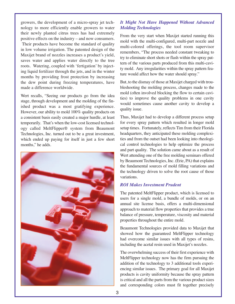growers, the development of a micro-spray jet technology to more efficiently enable growers to water their newly planted citrus trees has had extremely positive effects on the industry – and now consumers. Their products have become the standard of quality in low volume irrigation. The patented design of the Maxijet brand of nozzles increases a product's yield, saves water and applies water directly to the tree roots. Watering, coupled with 'fertigation' by injecting liquid fertilizer through the jets, and in the winter months by providing frost protection by increasing the dew point during freezing temperatures, have made a difference worldwide.

Wert recalls, "Seeing our products go from the idea stage, through development and the molding of the finished product was a most gratifying experience. However, our ability to mold 100% quality products on a consistent basis easily created a major hurdle, at least temporarily. That's when the low-cost licensed technology called MeltFlipper® system from Beaumont Technologies, Inc. turned out to be a great investment, which ended up paying for itself in just a few short months," he adds.



#### *It Might Not Have Happened Without Advanced Molding Technologies*

From the very start when Maxijet started running this mold with the multi-configured, multi-part nozzle and multi-colored offerings, the tool room supervisor remembers, "The process needed constant tweaking to try to eliminate short shots or flash within the spray pattern of the various parts produced from this multi-cavity mold. Any irregularities within the spray pattern feature would affect how the water should spray."

But, to the dismay of those at Maxijet charged with troubleshooting the molding process, changes made to the mold (often involved blocking the flow to certain cavities) to improve the quality problems in one cavity would sometimes cause another cavity to develop a quality issue.

Thus, Maxijet had to develop a different process setup for every spray pattern which resulted in longer mold setup times. Fortunately, reflects Tim from their Florida headquarters, they anticipated these molding complexities and from the outset had been looking into rheological control technologies to help optimize the process and part quality. The solution came about as a result of Wert attending one of the free molding seminars offered by Beaumont Technologies, Inc. (Erie, PA) that explains the fundamental sources of mold filling variations and the technology driven to solve the root cause of those variations.

#### *ROI Makes Investment Prudent*

The patented MeltFlipper product, which is licensed to users for a single mold, a bundle of molds, or on an annual site license basis, offers a multi-dimensional approach to material flow properties that provides a true balance of pressure, temperature, viscosity and material properties throughout the entire mold.

Beaumont Technologies provided data to Maxijet that showed how the guaranteed MeltFlipper technology had overcome similar issues with all types of resins, including the acetal resin used in Maxijet's nozzles.

The overwhelming success of their first experience with MeltFlipper technology now has the firm pursuing the addition of the technology to 3 additional tools experiencing similar issues. The primary goal for all Maxijet products is cavity uniformity because the spray pattern is critical and all the parts from the various product sizes and corresponding colors must fit together precisely